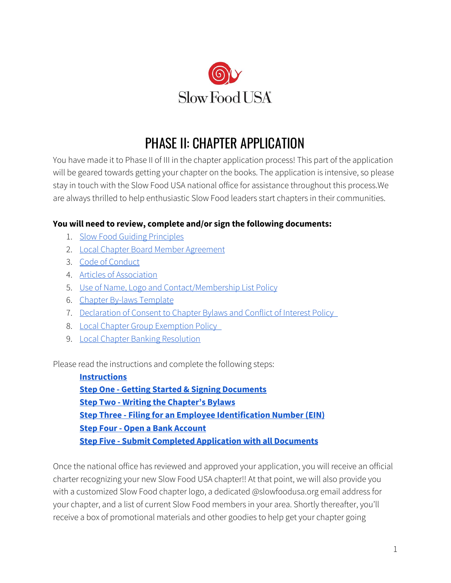

# PHASE II: CHAPTER APPLICATION

You have made it to Phase II of III in the chapter application process! This part of the application will be geared towards getting your chapter on the books. The application is intensive, so please stay in touch with the Slow Food USA national office for assistance throughout this process.We are always thrilled to help enthusiastic Slow Food leaders start chapters in their communities.

## **You will need to review, complete and/or sign the following documents:**

- 1. Slow Food Guiding [Principles](#page-9-0)
- 2. Local Chapter Board Member [Agreement](#page-11-0)
- 3. Code of [Conduct](#page-14-0)
- 4. Articles of [Association](#page-16-0)
- 5. Use of Name, Logo and [Contact/Membership](#page-18-0) List Policy
- 6. Chapter By-laws [Template](#page-19-0)
- 7. [Declaration](#page-25-0) of Consent to Chapter Bylaws and Conflict of Interest Policy
- 8. Local Chapter Group [Exemption](#page-27-0) Policy
- 9. Local Chapter Banking [Resolution](#page-28-0)

Please read the instructions and complete the following steps:

**[Instructions](#page-1-0) Step One - Getting Started & Signing [Documents](#page-1-1) Step Two - Writing the [Chapter's](#page-3-0) Bylaws Step Three - Filing for an Employee [Identification](#page-4-0) Number (EIN) Step Four - Open a Bank [Account](#page-6-0) Step Five - Submit Completed [Application](#page-7-0) with all Documents**

Once the national office has reviewed and approved your application, you will receive an official charter recognizing your new Slow Food USA chapter!! At that point, we will also provide you with a customized Slow Food chapter logo, a dedicated @slowfoodusa.org email address for your chapter, and a list of current Slow Food members in your area. Shortly thereafter, you'll receive a box of promotional materials and other goodies to help get your chapter going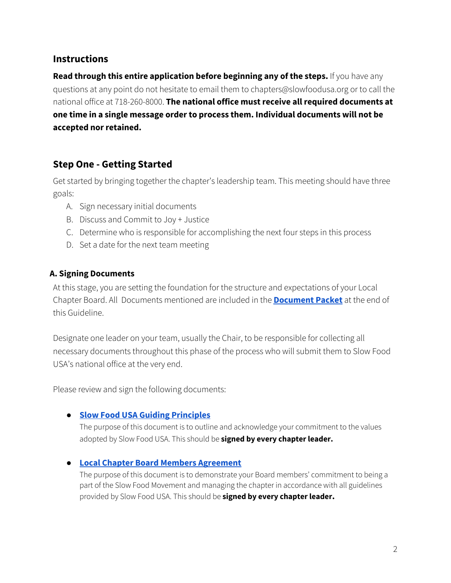## <span id="page-1-0"></span>**Instructions**

**Read through this entire application before beginning any of the steps.** If you have any questions at any point do not hesitate to email them to chapters@slowfoodusa.org or to call the national office at 718-260-8000. **The national office must receive all required documents at one time in a single message order to process them. Individual documents will not be accepted nor retained.**

## <span id="page-1-1"></span>**Step One - Getting Started**

Get started by bringing together the chapter's leadership team. This meeting should have three goals:

- A. Sign necessary initial documents
- B. Discuss and Commit to Joy + Justice
- C. Determine who is responsible for accomplishing the next four steps in this process
- D. Set a date for the next team meeting

#### **A. Signing Documents**

At this stage, you are setting the foundation for the structure and expectations of your Local Chapter Board. All Documents mentioned are included in the **[Document](#page-8-0) Packet** at the end of this Guideline.

Designate one leader on your team, usually the Chair, to be responsible for collecting all necessary documents throughout this phase of the process who will submit them to Slow Food USA's national office at the very end.

Please review and sign the following documents:

#### **● Slow Food USA Guiding [Principles](#page-9-0)**

The purpose of this document is to outline and acknowledge your commitment to the values adopted by Slow Food USA. This should be **signed by every chapter leader.**

#### **● Local Chapter Board Members [Agreement](#page-11-0)**

The purpose of this document is to demonstrate your Board members' commitment to being a part of the Slow Food Movement and managing the chapter in accordance with all guidelines provided by Slow Food USA. This should be **signed by every chapter leader.**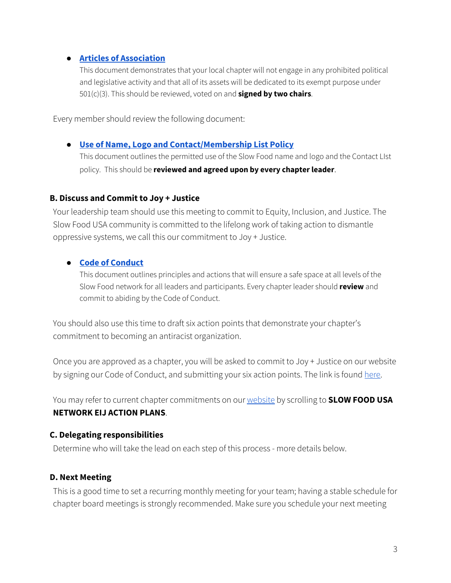#### **● Articles of [Association](#page-16-0)**

This document demonstrates that your local chapter will not engage in any prohibited political and legislative activity and that all of its assets will be dedicated to its exempt purpose under 501(c)(3). This should be reviewed, voted on and **signed by two chairs**.

Every member should review the following document:

#### **● Use of Name, Logo and [Contact/Membership](#page-18-0) List Policy**

This document outlines the permitted use of the Slow Food name and logo and the Contact LIst policy. This should be **reviewed and agreed upon by every chapter leader**.

#### **B. Discuss and Commit to Joy + Justice**

Your leadership team should use this meeting to commit to Equity, Inclusion, and Justice. The Slow Food USA community is committed to the lifelong work of taking action to dismantle oppressive systems, we call this our commitment to Joy + Justice.

#### **● Code of [Conduct](#page-14-0)**

This document outlines principles and actions that will ensure a safe space at all levels of the Slow Food network for all leaders and participants. Every chapter leader should **review** and commit to abiding by the Code of Conduct.

You should also use this time to draft six action points that demonstrate your chapter's commitment to becoming an antiracist organization.

Once you are approved as a chapter, you will be asked to commit to Joy + Justice on our website by signing our Code of Conduct, and submitting your six action points. The link is found [here.](https://slowfoodusa.org/joy-justice/)

You may refer to current chapter commitments on our [website](https://slowfoodusa.org/about/eij/) by scrolling to **SLOW FOOD USA NETWORK EIJ ACTION PLANS**.

#### **C. Delegating responsibilities**

Determine who will take the lead on each step of this process - more details below.

#### **D. Next Meeting**

This is a good time to set a recurring monthly meeting for your team; having a stable schedule for chapter board meetings is strongly recommended. Make sure you schedule your next meeting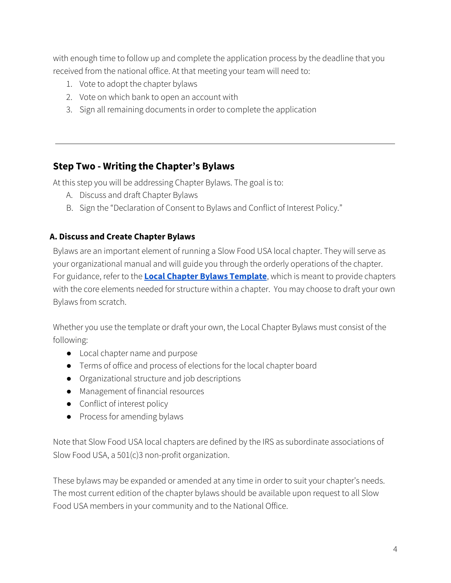with enough time to follow up and complete the application process by the deadline that you received from the national office. At that meeting your team will need to:

- 1. Vote to adopt the chapter bylaws
- 2. Vote on which bank to open an account with
- 3. Sign all remaining documents in order to complete the application

## <span id="page-3-0"></span>**Step Two - Writing the Chapter's Bylaws**

At this step you will be addressing Chapter Bylaws. The goal is to:

- A. Discuss and draft Chapter Bylaws
- B. Sign the "Declaration of Consent to Bylaws and Conflict of Interest Policy."

### **A. Discuss and Create Chapter Bylaws**

Bylaws are an important element of running a Slow Food USA local chapter. They will serve as your organizational manual and will guide you through the orderly operations of the chapter. For guidance, refer to the **Local Chapter Bylaws [Template](#page-19-0)**, which is meant to provide chapters with the core elements needed for structure within a chapter. You may choose to draft your own Bylaws from scratch.

Whether you use the template or draft your own, the Local Chapter Bylaws must consist of the following:

- Local chapter name and purpose
- Terms of office and process of elections for the local chapter board
- Organizational structure and job descriptions
- Management of financial resources
- Conflict of interest policy
- Process for amending bylaws

Note that Slow Food USA local chapters are defined by the IRS as subordinate associations of Slow Food USA, a 501(c)3 non-profit organization.

These bylaws may be expanded or amended at any time in order to suit your chapter's needs. The most current edition of the chapter bylaws should be available upon request to all Slow Food USA members in your community and to the National Office.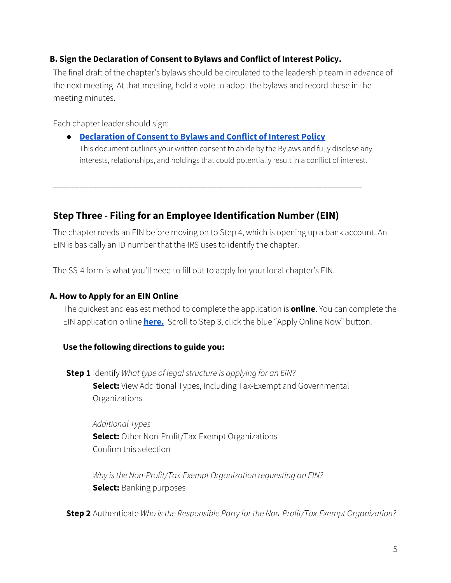### **B. Sign the Declaration of Consent to Bylaws and Conflict of Interest Policy.**

The final draft of the chapter's bylaws should be circulated to the leadership team in advance of the next meeting. At that meeting, hold a vote to adopt the bylaws and record these in the meeting minutes.

Each chapter leader should sign:

● **[Declaration](#page-25-0) of Consent to Bylaws and Conflict of Interest Policy** This document outlines your written consent to abide by the Bylaws and fully disclose any interests, relationships, and holdings that could potentially result in a conflict of interest.

<span id="page-4-0"></span>\_\_\_\_\_\_\_\_\_\_\_\_\_\_\_\_\_\_\_\_\_\_\_\_\_\_\_\_\_\_\_\_\_\_\_\_\_\_\_\_\_\_\_\_\_\_\_\_\_\_\_\_\_\_\_\_\_\_\_\_\_\_\_\_\_\_\_\_\_\_

## **Step Three - Filing for an Employee Identification Number (EIN)**

The chapter needs an EIN before moving on to Step 4, which is opening up a bank account. An EIN is basically an ID number that the IRS uses to identify the chapter.

The SS-4 form is what you'll need to fill out to apply for your local chapter's EIN.

### **A. How to Apply for an EIN Online**

The quickest and easiest method to complete the application is **online**. You can complete the EIN application online **[here.](https://www.irs.gov/businesses/small-businesses-self-employed/apply-for-an-employer-identification-number-ein-online)** Scroll to Step 3, click the blue "Apply Online Now" button.

## **Use the following directions to guide you:**

**Step 1** Identify *What type of legal structure is applying for an EIN?* **Select:** View Additional Types, Including Tax-Exempt and Governmental Organizations

*Additional Types* **Select:** Other Non-Profit/Tax-Exempt Organizations Confirm this selection

*Why isthe Non-Profit/Tax-Exempt Organization requesting an EIN?* **Select:** Banking purposes

**Step 2** Authenticate *Who isthe Responsible Party for the Non-Profit/Tax-Exempt Organization?*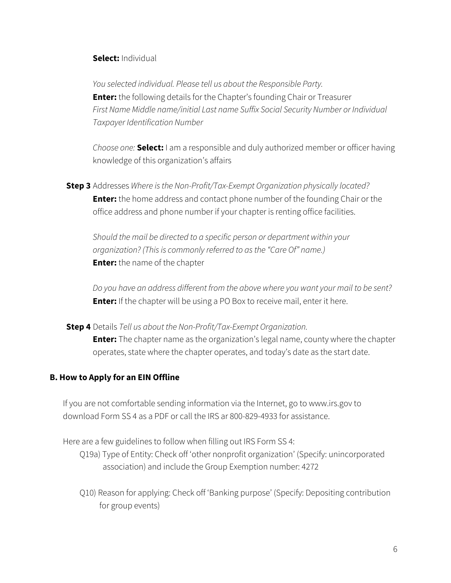#### **Select:** Individual

*You selected individual. Please tell us about the Responsible Party.* **Enter:** the following details for the Chapter's founding Chair or Treasurer *First Name Middle name/initial Last name Suffix Social Security Number or Individual Taxpayer Identification Number*

*Choose one:* **Select:** I am a responsible and duly authorized member or officer having knowledge of this organization's affairs

**Step 3** Addresses *Where isthe Non-Profit/Tax-Exempt Organization physically located?* **Enter:** the home address and contact phone number of the founding Chair or the office address and phone number if your chapter is renting office facilities.

*Should the mail be directed to a specific person or department within your organization?(Thisis commonly referred to asthe "Care Of" name.)* **Enter:** the name of the chapter

*Do you have an address different from the above where you want your mail to be sent?* **Enter:** If the chapter will be using a PO Box to receive mail, enter it here.

**Step 4** Details *Tell us about the Non-Profit/Tax-Exempt Organization.* **Enter:** The chapter name as the organization's legal name, county where the chapter operates, state where the chapter operates, and today's date as the start date.

#### **B. How to Apply for an EIN Offline**

If you are not comfortable sending information via the Internet, go to www.irs.gov to download Form SS 4 as a PDF or call the IRS ar 800-829-4933 for assistance.

Here are a few guidelines to follow when filling out IRS Form SS 4:

- Q19a) Type of Entity: Check off 'other nonprofit organization' (Specify: unincorporated association) and include the Group Exemption number: 4272
- Q10) Reason for applying: Check off 'Banking purpose' (Specify: Depositing contribution for group events)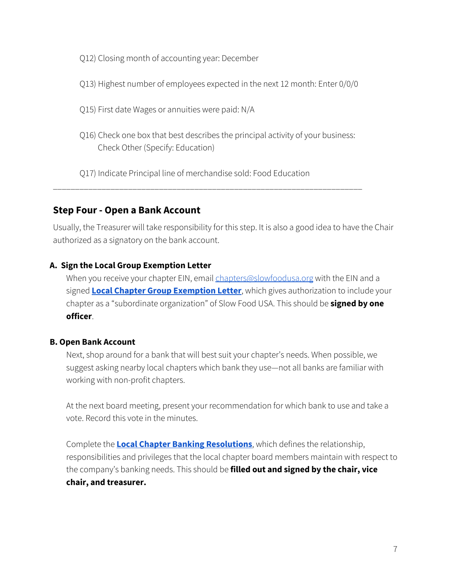Q12) Closing month of accounting year: December

Q13) Highest number of employees expected in the next 12 month: Enter 0/0/0

Q15) First date Wages or annuities were paid: N/A

Q16) Check one box that best describes the principal activity of your business: Check Other (Specify: Education)

Q17) Indicate Principal line of merchandise sold: Food Education

<span id="page-6-0"></span>\_\_\_\_\_\_\_\_\_\_\_\_\_\_\_\_\_\_\_\_\_\_\_\_\_\_\_\_\_\_\_\_\_\_\_\_\_\_\_\_\_\_\_\_\_\_\_\_\_\_\_\_\_\_\_\_\_\_\_\_\_\_\_\_\_\_\_\_\_\_

## **Step Four - Open a Bank Account**

Usually, the Treasurer will take responsibility for this step. It is also a good idea to have the Chair authorized as a signatory on the bank account.

## **A. Sign the Local Group Exemption Letter**

When you receive your chapter EIN, email [chapters@slowfoodusa.org](mailto:chapters@slowfoodusa.org) with the EIN and a signed **Local Chapter Group [Exemption](#page-27-0) Letter**, which gives authorization to include your chapter as a "subordinate organization" of Slow Food USA. This should be **signed by one officer**.

## **B. Open Bank Account**

Next, shop around for a bank that will best suit your chapter's needs. When possible, we suggest asking nearby local chapters which bank they use—not all banks are familiar with working with non-profit chapters.

At the next board meeting, present your recommendation for which bank to use and take a vote. Record this vote in the minutes.

Complete the **Local Chapter Banking [Resolutions](#page-28-0)**, which defines the relationship, responsibilities and privileges that the local chapter board members maintain with respect to the company's banking needs. This should be **filled out and signed by the chair, vice chair, and treasurer.**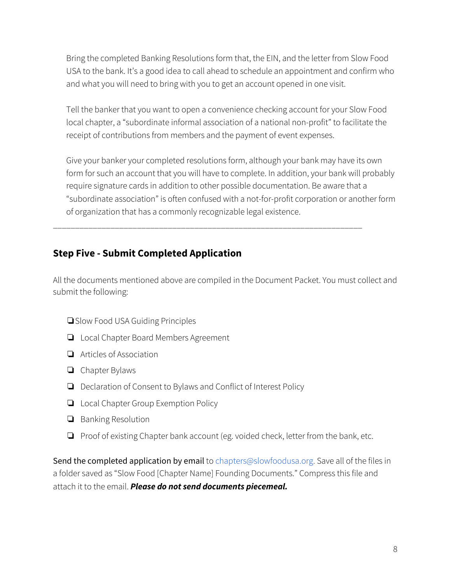Bring the completed Banking Resolutions form that, the EIN, and the letter from Slow Food USA to the bank. It's a good idea to call ahead to schedule an appointment and confirm who and what you will need to bring with you to get an account opened in one visit.

Tell the banker that you want to open a convenience checking account for your Slow Food local chapter, a "subordinate informal association of a national non-profit" to facilitate the receipt of contributions from members and the payment of event expenses.

Give your banker your completed resolutions form, although your bank may have its own form for such an account that you will have to complete. In addition, your bank will probably require signature cards in addition to other possible documentation. Be aware that a "subordinate association" is often confused with a not-for-profit corporation or another form of organization that has a commonly recognizable legal existence.

## **Step Five - Submit Completed Application**

All the documents mentioned above are compiled in the Document Packet. You must collect and submit the following:

<span id="page-7-0"></span>\_\_\_\_\_\_\_\_\_\_\_\_\_\_\_\_\_\_\_\_\_\_\_\_\_\_\_\_\_\_\_\_\_\_\_\_\_\_\_\_\_\_\_\_\_\_\_\_\_\_\_\_\_\_\_\_\_\_\_\_\_\_\_\_\_\_\_\_\_\_

- ❏Slow Food USA Guiding Principles
- ❏ Local Chapter Board Members Agreement
- ❏ Articles of Association
- ❏ Chapter Bylaws
- ❏ Declaration of Consent to Bylaws and Conflict of Interest Policy
- ❏ Local Chapter Group Exemption Policy
- ❏ Banking Resolution
- ❏ Proof of existing Chapter bank account (eg. voided check, letter from the bank, etc.

Send the completed application by email to chapters@slowfoodusa.org. Save all of the files in a folder saved as "Slow Food [Chapter Name] Founding Documents." Compress this file and attach it to the email. *Please do not send documents piecemeal.*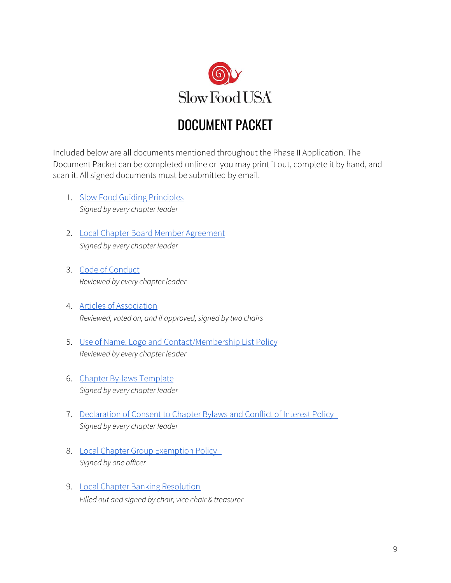

## <span id="page-8-0"></span>DOCUMENT PACKET

Included below are all documents mentioned throughout the Phase II Application. The Document Packet can be completed online or you may print it out, complete it by hand, and scan it. All signed documents must be submitted by email.

- 1. Slow Food Guiding [Principles](#page-9-0) *Signed by every chapter leader*
- 2. Local Chapter Board Member [Agreement](#page-11-0) *Signed by every chapter leader*
- 3. Code of [Conduct](#page-14-0) *Reviewed by every chapter leader*
- 4. Articles of [Association](#page-16-0) *Reviewed, voted on, and if approved,signed by two chairs*
- 5. Use of Name, Logo and [Contact/Membership](#page-18-0) List Policy *Reviewed by every chapter leader*
- 6. Chapter By-laws [Template](#page-19-0) *Signed by every chapter leader*
- 7. [Declaration](#page-25-0) of Consent to Chapter Bylaws and Conflict of Interest Policy *Signed by every chapter leader*
- 8. Local Chapter Group [Exemption](#page-27-0) Policy *Signed by one officer*
- 9. Local Chapter Banking [Resolution](#page-28-0) *Filled out and signed by chair, vice chair & treasurer*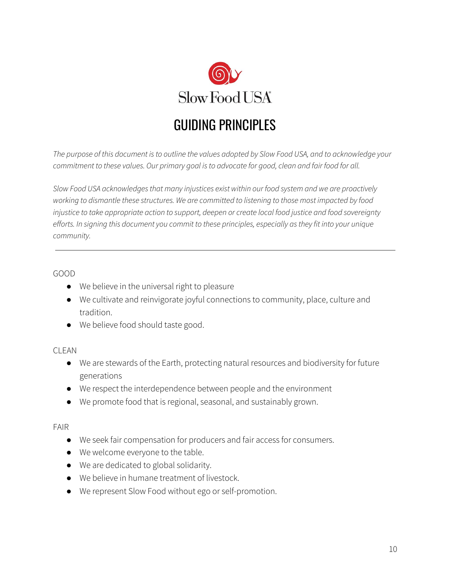

# <span id="page-9-0"></span>GUIDING PRINCIPLES

The purpose of this document is to outline the values adopted by Slow Food USA, and to acknowledge your *commitment to these values. Our primary goal isto advocate for good, clean and fair food for all.*

*Slow Food USA acknowledgesthat many injustices exist within our food system and we are proactively working to dismantle these structures. We are committed to listening to those most impacted by food injustice to take appropriate action to support, deepen or create local food justice and food sovereignty efforts. In signing this document you commit to these principles, especially asthey fit into your unique community.*

#### GOOD

- We believe in the universal right to pleasure
- We cultivate and reinvigorate joyful connections to community, place, culture and tradition.
- We believe food should taste good.

#### CLEAN

- We are stewards of the Earth, protecting natural resources and biodiversity for future generations
- We respect the interdependence between people and the environment
- We promote food that is regional, seasonal, and sustainably grown.

#### FAIR

- We seek fair compensation for producers and fair access for consumers.
- We welcome everyone to the table.
- We are dedicated to global solidarity.
- We believe in humane treatment of livestock.
- We represent Slow Food without ego or self-promotion.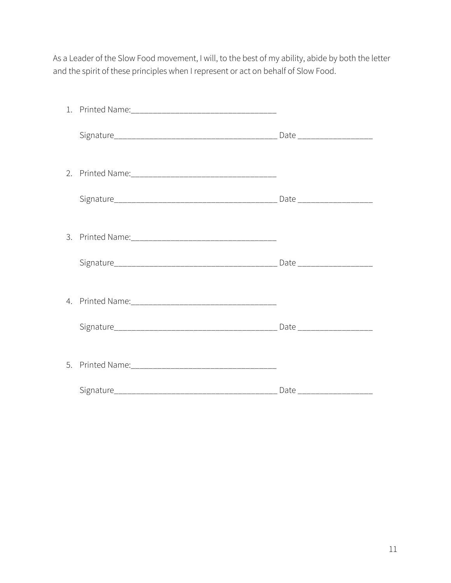As a Leader of the Slow Food movement, I will, to the best of my ability, abide by both the letter and the spirit of these principles when I represent or act on behalf of Slow Food.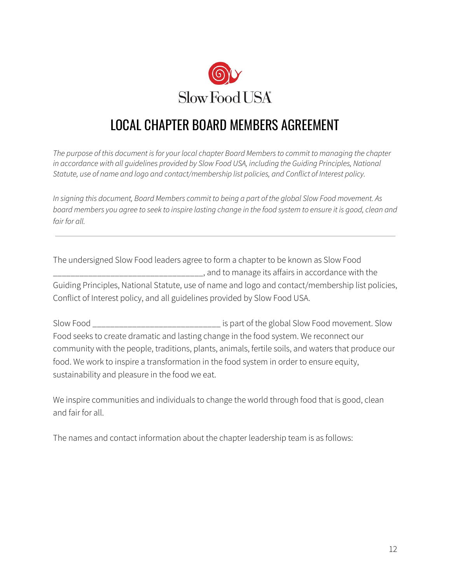

## <span id="page-11-0"></span>LOCAL CHAPTER BOARD MEMBERS AGREEMENT

*The purpose of this document isfor your local chapter Board Membersto commit to managing the chapter in accordance with all guidelines provided by Slow Food USA, including the Guiding Principles, National Statute, use of name and logo and contact/membership list policies, and Conflict of Interest policy.*

In signing this document, Board Members commit to being a part of the global Slow Food movement. As board members you agree to seek to inspire lasting change in the food system to ensure it is good, clean and *fair for all.*

The undersigned Slow Food leaders agree to form a chapter to be known as Slow Food \_\_\_\_\_\_\_\_\_\_\_\_\_\_\_\_\_\_\_\_\_\_\_\_\_\_\_\_\_\_\_\_\_\_, and to manage its affairs in accordance with the Guiding Principles, National Statute, use of name and logo and contact/membership list policies, Conflict of Interest policy, and all guidelines provided by Slow Food USA.

Slow Food \_\_\_\_\_\_\_\_\_\_\_\_\_\_\_\_\_\_\_\_\_\_\_\_\_\_\_\_\_ is part of the global Slow Food movement. Slow Food seeks to create dramatic and lasting change in the food system. We reconnect our community with the people, traditions, plants, animals, fertile soils, and waters that produce our food. We work to inspire a transformation in the food system in order to ensure equity, sustainability and pleasure in the food we eat.

We inspire communities and individuals to change the world through food that is good, clean and fair for all.

The names and contact information about the chapter leadership team is as follows: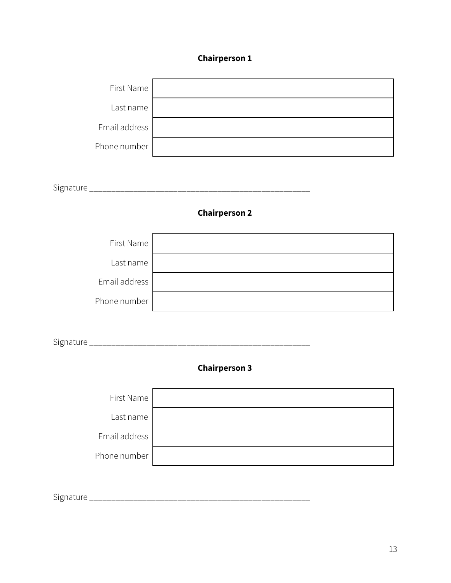### **Chairperson 1**



Signature \_\_\_\_\_\_\_\_\_\_\_\_\_\_\_\_\_\_\_\_\_\_\_\_\_\_\_\_\_\_\_\_\_\_\_\_\_\_\_\_\_\_\_\_\_\_\_\_\_\_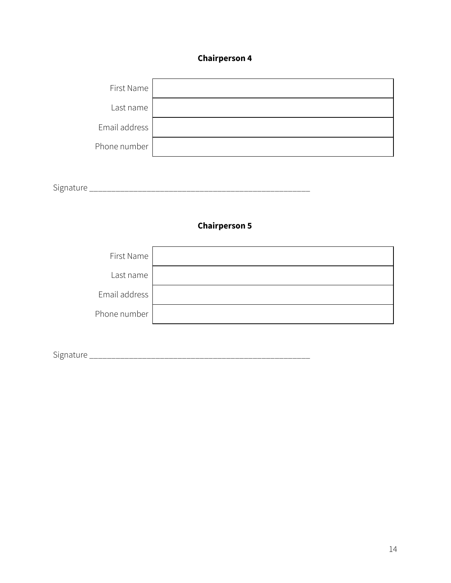### **Chairperson 4**



Signature \_\_\_\_\_\_\_\_\_\_\_\_\_\_\_\_\_\_\_\_\_\_\_\_\_\_\_\_\_\_\_\_\_\_\_\_\_\_\_\_\_\_\_\_\_\_\_\_\_\_

### **Chairperson 5**



Signature \_\_\_\_\_\_\_\_\_\_\_\_\_\_\_\_\_\_\_\_\_\_\_\_\_\_\_\_\_\_\_\_\_\_\_\_\_\_\_\_\_\_\_\_\_\_\_\_\_\_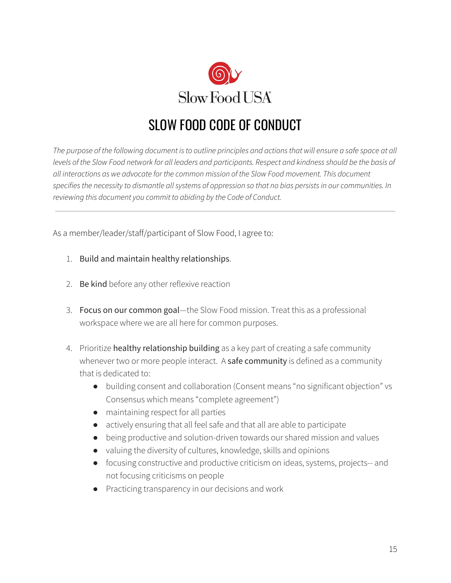

# <span id="page-14-0"></span>SLOW FOOD CODE OF CONDUCT

The purpose of the following document is to outline principles and actions that will ensure a safe space at all levels of the Slow Food network for all leaders and participants. Respect and kindness should be the basis of *all interactions as we advocate for the common mission of the Slow Food movement. This document specifiesthe necessity to dismantle allsystems of oppression so that no bias persistsin our communities. In reviewing this document you commit to abiding by the Code of Conduct.*

As a member/leader/staff/participant of Slow Food, I agree to:

- 1. Build and maintain healthy relationships.
- 2. Be kind before any other reflexive reaction
- 3. Focus on our common goal—the Slow Food mission. Treat this as a professional workspace where we are all here for common purposes.
- 4. Prioritize healthy relationship building as a key part of creating a safe community whenever two or more people interact. A safe community is defined as a community that is dedicated to:
	- building consent and collaboration (Consent means "no significant objection" vs Consensus which means "complete agreement")
	- maintaining respect for all parties
	- actively ensuring that all feel safe and that all are able to participate
	- being productive and solution-driven towards our shared mission and values
	- valuing the diversity of cultures, knowledge, skills and opinions
	- focusing constructive and productive criticism on ideas, systems, projects-- and not focusing criticisms on people
	- Practicing transparency in our decisions and work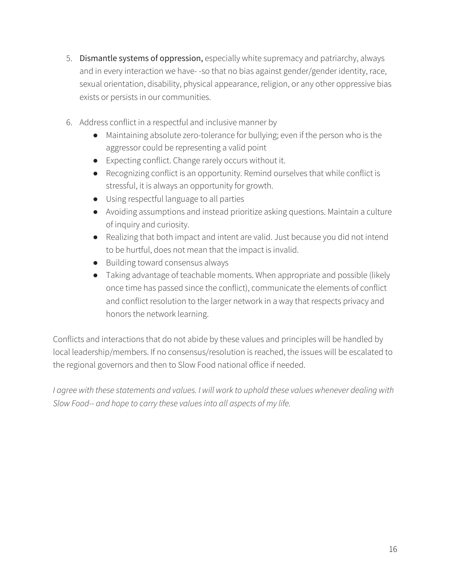- 5. Dismantle systems of oppression, especially white supremacy and patriarchy, always and in every interaction we have- -so that no bias against gender/gender identity, race, sexual orientation, disability, physical appearance, religion, or any other oppressive bias exists or persists in our communities.
- 6. Address conflict in a respectful and inclusive manner by
	- Maintaining absolute zero-tolerance for bullying; even if the person who is the aggressor could be representing a valid point
	- Expecting conflict. Change rarely occurs without it.
	- Recognizing conflict is an opportunity. Remind ourselves that while conflict is stressful, it is always an opportunity for growth.
	- Using respectful language to all parties
	- Avoiding assumptions and instead prioritize asking questions. Maintain a culture of inquiry and curiosity.
	- Realizing that both impact and intent are valid. Just because you did not intend to be hurtful, does not mean that the impact is invalid.
	- Building toward consensus always
	- Taking advantage of teachable moments. When appropriate and possible (likely once time has passed since the conflict), communicate the elements of conflict and conflict resolution to the larger network in a way that respects privacy and honors the network learning.

Conflicts and interactions that do not abide by these values and principles will be handled by local leadership/members. If no consensus/resolution is reached, the issues will be escalated to the regional governors and then to Slow Food national office if needed.

*I agree with these statements and values. I will work to uphold these values whenever dealing with Slow Food-- and hope to carry these valuesinto all aspects of my life.*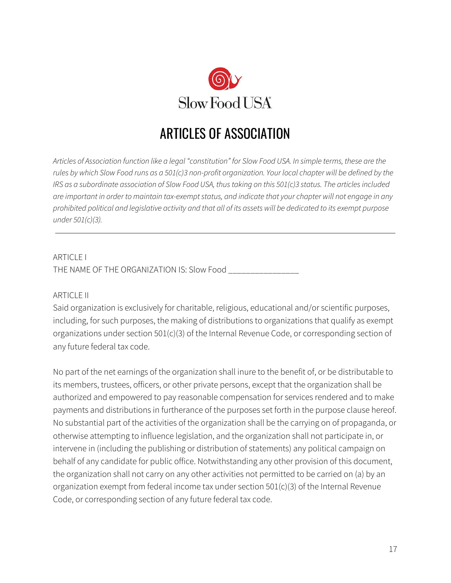<span id="page-16-0"></span>

# ARTICLES OF ASSOCIATION

Articles of Association function like a legal "constitution" for Slow Food USA. In simple terms, these are the rules by which Slow Food runs as a 501(c)3 non-profit organization. Your local chapter will be defined by the *IRS* as a subordinate association of Slow Food USA, thus taking on this 501(c)3 status. The articles included are important in order to maintain tax-exempt status, and indicate that your chapter will not engage in any prohibited political and legislative activity and that all of its assets will be dedicated to its exempt purpose *under 501(c)(3).*

## ARTICLE I THE NAME OF THE ORGANIZATION IS: Slow Food \_\_\_\_\_\_\_\_\_\_\_\_\_\_\_\_

#### ARTICLE II

Said organization is exclusively for charitable, religious, educational and/or scientific purposes, including, for such purposes, the making of distributions to organizations that qualify as exempt organizations under section 501(c)(3) of the Internal Revenue Code, or corresponding section of any future federal tax code.

No part of the net earnings of the organization shall inure to the benefit of, or be distributable to its members, trustees, officers, or other private persons, except that the organization shall be authorized and empowered to pay reasonable compensation for services rendered and to make payments and distributions in furtherance of the purposes set forth in the purpose clause hereof. No substantial part of the activities of the organization shall be the carrying on of propaganda, or otherwise attempting to influence legislation, and the organization shall not participate in, or intervene in (including the publishing or distribution of statements) any political campaign on behalf of any candidate for public office. Notwithstanding any other provision of this document, the organization shall not carry on any other activities not permitted to be carried on (a) by an organization exempt from federal income tax under section 501(c)(3) of the Internal Revenue Code, or corresponding section of any future federal tax code.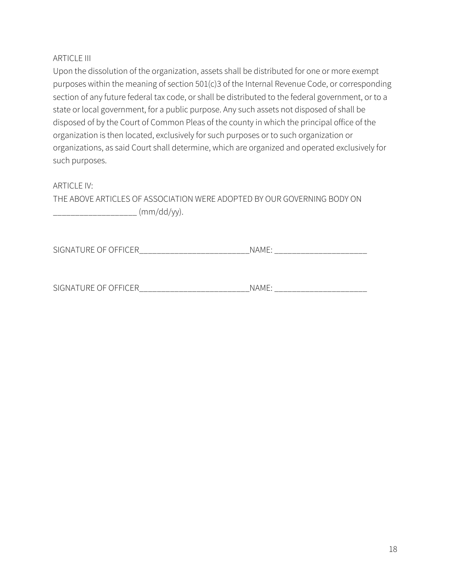#### **ARTICLE III**

Upon the dissolution of the organization, assets shall be distributed for one or more exempt purposes within the meaning of section 501(c)3 of the Internal Revenue Code, or corresponding section of any future federal tax code, or shall be distributed to the federal government, or to a state or local government, for a public purpose. Any such assets not disposed of shall be disposed of by the Court of Common Pleas of the county in which the principal office of the organization is then located, exclusively for such purposes or to such organization or organizations, as said Court shall determine, which are organized and operated exclusively for such purposes.

#### ARTICLE IV:

THE ABOVE ARTICLES OF ASSOCIATION WERE ADOPTED BY OUR GOVERNING BODY ON \_\_\_\_\_\_\_\_\_\_\_\_\_\_\_\_\_\_\_ (mm/dd/yy).

SIGNATURE OF OFFICER\_\_\_\_\_\_\_\_\_\_\_\_\_\_\_\_\_\_\_\_\_\_\_\_\_\_\_\_\_\_\_\_NAME: \_\_\_\_\_\_\_\_\_\_\_\_\_\_\_\_\_\_\_\_\_\_

SIGNATURE OF OFFICER THE RELATIONSHIP OF SIGNATURE OF SERIES AND THE SERIES OF SIGNAL SERIES AND STRUCK AND THE STRUCK STRUCK OF STRUCK AND THE STRUCK STRUCK STRUCK AND THE STRUCK STRUCK STRUCK STRUCK STRUCK STRUCK STRUCK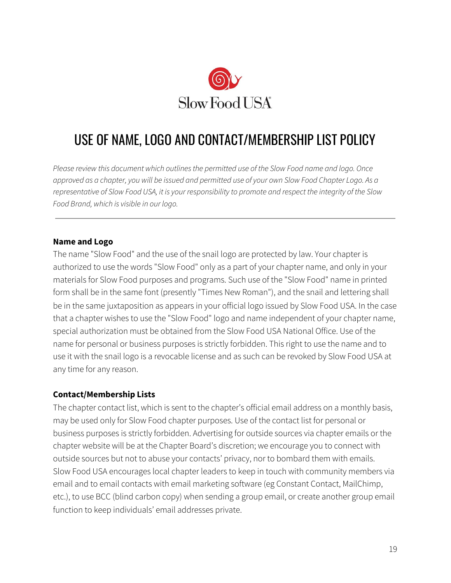

# <span id="page-18-0"></span>USE OF NAME, LOGO AND CONTACT/MEMBERSHIP LIST POLICY

*Please review this document which outlinesthe permitted use of the Slow Food name and logo. Once* approved as a chapter, you will be issued and permitted use of your own Slow Food Chapter Logo. As a representative of Slow Food USA, it is your responsibility to promote and respect the integrity of the Slow *Food Brand, which is visible in our logo.*

#### **Name and Logo**

The name "Slow Food" and the use of the snail logo are protected by law. Your chapter is authorized to use the words "Slow Food" only as a part of your chapter name, and only in your materials for Slow Food purposes and programs. Such use of the "Slow Food" name in printed form shall be in the same font (presently "Times New Roman"), and the snail and lettering shall be in the same juxtaposition as appears in your official logo issued by Slow Food USA. In the case that a chapter wishes to use the "Slow Food" logo and name independent of your chapter name, special authorization must be obtained from the Slow Food USA National Office. Use of the name for personal or business purposes is strictly forbidden. This right to use the name and to use it with the snail logo is a revocable license and as such can be revoked by Slow Food USA at any time for any reason.

#### **Contact/Membership Lists**

The chapter contact list, which is sent to the chapter's official email address on a monthly basis, may be used only for Slow Food chapter purposes. Use of the contact list for personal or business purposes is strictly forbidden. Advertising for outside sources via chapter emails or the chapter website will be at the Chapter Board's discretion; we encourage you to connect with outside sources but not to abuse your contacts' privacy, nor to bombard them with emails. Slow Food USA encourages local chapter leaders to keep in touch with community members via email and to email contacts with email marketing software (eg Constant Contact, MailChimp, etc.), to use BCC (blind carbon copy) when sending a group email, or create another group email function to keep individuals' email addresses private.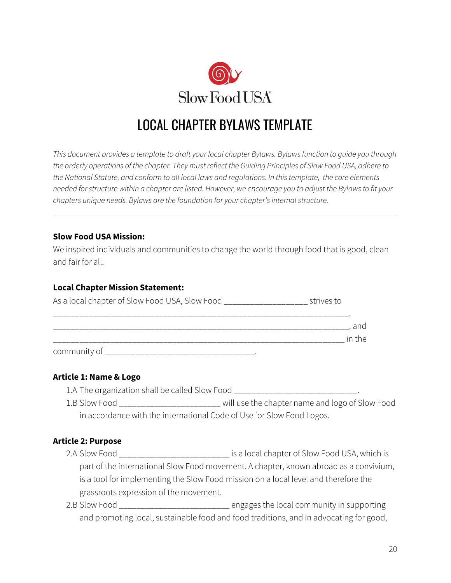

# <span id="page-19-0"></span>LOCAL CHAPTER BYLAWS TEMPLATE

*This document provides a template to draft your local chapter Bylaws. Bylawsfunction to guide you through* the orderly operations of the chapter. They must reflect the Guiding Principles of Slow Food USA, adhere to *the National Statute, and conform to all local laws and regulations. In thistemplate, the core elements* needed for structure within a chapter are listed. However, we encourage you to adjust the Bylaws to fit your *chapters unique needs. Bylaws are the foundation for your chapter'sinternalstructure.*

#### **Slow Food USA Mission:**

We inspired individuals and communities to change the world through food that is good, clean and fair for all.

#### **Local Chapter Mission Statement:**

| As a local chapter of Slow Food USA, Slow Food _ | strives to    |
|--------------------------------------------------|---------------|
|                                                  | and<br>in the |
| community of                                     |               |

#### **Article 1: Name & Logo**

1.A The organization shall be called Slow Food \_\_\_\_\_\_\_\_\_\_\_\_\_\_\_\_\_\_\_\_\_\_\_\_\_\_\_\_\_\_\_\_\_.

1.B Slow Food \_\_\_\_\_\_\_\_\_\_\_\_\_\_\_\_\_\_\_\_\_\_\_ will use the chapter name and logo of Slow Food in accordance with the international Code of Use for Slow Food Logos.

### **Article 2: Purpose**

- 2.A Slow Food \_\_\_\_\_\_\_\_\_\_\_\_\_\_\_\_\_\_\_\_\_\_\_\_\_ is a local chapter of Slow Food USA, which is part of the international Slow Food movement. A chapter, known abroad as a convivium, is a tool for implementing the Slow Food mission on a local level and therefore the grassroots expression of the movement.
- 2.B Slow Food \_\_\_\_\_\_\_\_\_\_\_\_\_\_\_\_\_\_\_\_\_\_\_\_\_ engages the local community in supporting and promoting local, sustainable food and food traditions, and in advocating for good,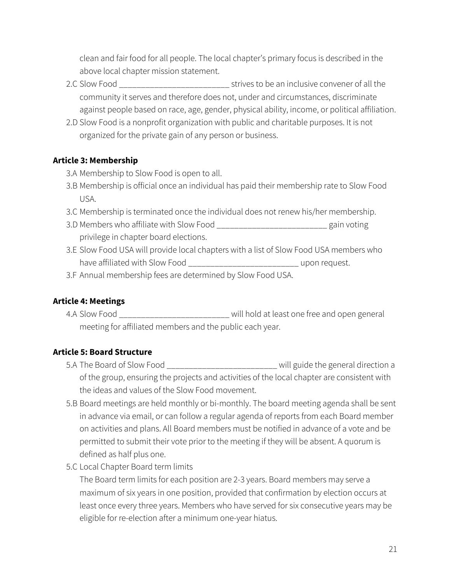clean and fair food for all people. The local chapter's primary focus is described in the above local chapter mission statement.

- 2.C Slow Food \_\_\_\_\_\_\_\_\_\_\_\_\_\_\_\_\_\_\_\_\_\_\_\_\_ strives to be an inclusive convener of all the community it serves and therefore does not, under and circumstances, discriminate against people based on race, age, gender, physical ability, income, or political affiliation.
- 2.D Slow Food is a nonprofit organization with public and charitable purposes. It is not organized for the private gain of any person or business.

## **Article 3: Membership**

- 3.A Membership to Slow Food is open to all.
- 3.B Membership is official once an individual has paid their membership rate to Slow Food USA.
- 3.C Membership is terminated once the individual does not renew his/her membership.
- 3.D Members who affiliate with Slow Food \_\_\_\_\_\_\_\_\_\_\_\_\_\_\_\_\_\_\_\_\_\_\_\_\_ gain voting privilege in chapter board elections.
- 3.E Slow Food USA will provide local chapters with a list of Slow Food USA members who have affiliated with Slow Food \_\_\_\_\_\_\_\_\_\_\_\_\_\_\_\_\_\_\_\_\_\_\_\_\_\_\_\_\_\_\_ upon request.
- 3.F Annual membership fees are determined by Slow Food USA.

## **Article 4: Meetings**

4.A Slow Food \_\_\_\_\_\_\_\_\_\_\_\_\_\_\_\_\_\_\_\_\_\_\_\_\_ will hold at least one free and open general meeting for affiliated members and the public each year.

## **Article 5: Board Structure**

- 5.A The Board of Slow Food \_\_\_\_\_\_\_\_\_\_\_\_\_\_\_\_\_\_\_\_\_\_\_\_\_ will guide the general direction a of the group, ensuring the projects and activities of the local chapter are consistent with the ideas and values of the Slow Food movement.
- 5.B Board meetings are held monthly or bi-monthly. The board meeting agenda shall be sent in advance via email, or can follow a regular agenda of reports from each Board member on activities and plans. All Board members must be notified in advance of a vote and be permitted to submit their vote prior to the meeting if they will be absent. A quorum is defined as half plus one.
- 5.C Local Chapter Board term limits

The Board term limits for each position are 2-3 years. Board members may serve a maximum of six years in one position, provided that confirmation by election occurs at least once every three years. Members who have served for six consecutive years may be eligible for re-election after a minimum one-year hiatus.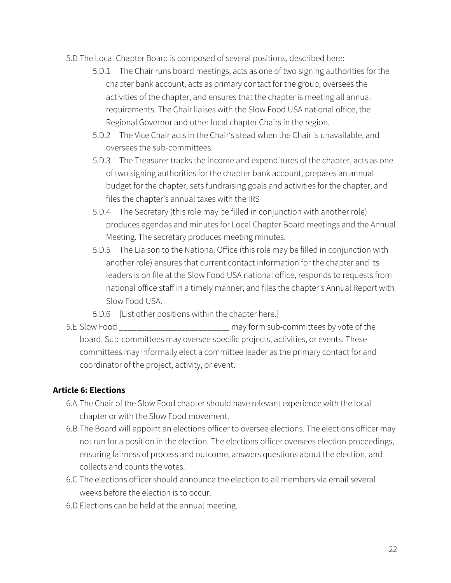- 5.D The Local Chapter Board is composed of several positions, described here:
	- 5.D.1 The Chair runs board meetings, acts as one of two signing authorities for the chapter bank account, acts as primary contact for the group, oversees the activities of the chapter, and ensures that the chapter is meeting all annual requirements. The Chair liaises with the Slow Food USA national office, the Regional Governor and other local chapter Chairs in the region.
	- 5.D.2 The Vice Chair acts in the Chair's stead when the Chair is unavailable, and oversees the sub-committees.
	- 5.D.3 The Treasurer tracks the income and expenditures of the chapter, acts as one of two signing authorities for the chapter bank account, prepares an annual budget for the chapter, sets fundraising goals and activities for the chapter, and files the chapter's annual taxes with the IRS
	- 5.D.4 The Secretary (this role may be filled in conjunction with another role) produces agendas and minutes for Local Chapter Board meetings and the Annual Meeting. The secretary produces meeting minutes.
	- 5.D.5 The Liaison to the National Office (this role may be filled in conjunction with another role) ensures that current contact information for the chapter and its leaders is on file at the Slow Food USA national office, responds to requests from national office staff in a timely manner, and files the chapter's Annual Report with Slow Food USA.
	- 5.D.6 [List other positions within the chapter here.]
- 5.E Slow Food \_\_\_\_\_\_\_\_\_\_\_\_\_\_\_\_\_\_\_\_\_\_\_\_\_ may form sub-committees by vote of the board. Sub-committees may oversee specific projects, activities, or events. These committees may informally elect a committee leader as the primary contact for and coordinator of the project, activity, or event.

#### **Article 6: Elections**

- 6.A The Chair of the Slow Food chapter should have relevant experience with the local chapter or with the Slow Food movement.
- 6.B The Board will appoint an elections officer to oversee elections. The elections officer may not run for a position in the election. The elections officer oversees election proceedings, ensuring fairness of process and outcome, answers questions about the election, and collects and counts the votes.
- 6.C The elections officer should announce the election to all members via email several weeks before the election is to occur.
- 6.D Elections can be held at the annual meeting.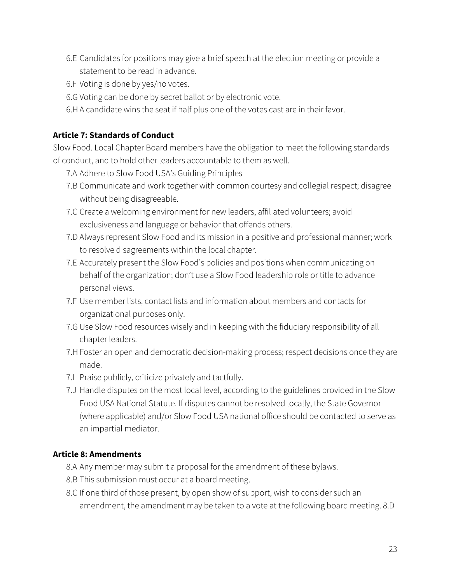- 6.E Candidates for positions may give a brief speech at the election meeting or provide a statement to be read in advance.
- 6.F Voting is done by yes/no votes.
- 6.G Voting can be done by secret ballot or by electronic vote.
- 6.H A candidate wins the seat if half plus one of the votes cast are in their favor.

## **Article 7: Standards of Conduct**

Slow Food. Local Chapter Board members have the obligation to meet the following standards of conduct, and to hold other leaders accountable to them as well.

- 7.A Adhere to Slow Food USA's Guiding Principles
- 7.B Communicate and work together with common courtesy and collegial respect; disagree without being disagreeable.
- 7.C Create a welcoming environment for new leaders, affiliated volunteers; avoid exclusiveness and language or behavior that offends others.
- 7.D Always represent Slow Food and its mission in a positive and professional manner; work to resolve disagreements within the local chapter.
- 7.E Accurately present the Slow Food's policies and positions when communicating on behalf of the organization; don't use a Slow Food leadership role or title to advance personal views.
- 7.F Use member lists, contact lists and information about members and contacts for organizational purposes only.
- 7.G Use Slow Food resources wisely and in keeping with the fiduciary responsibility of all chapter leaders.
- 7.H Foster an open and democratic decision-making process; respect decisions once they are made.
- 7.I Praise publicly, criticize privately and tactfully.
- 7.J Handle disputes on the most local level, according to the guidelines provided in the Slow Food USA National Statute. If disputes cannot be resolved locally, the State Governor (where applicable) and/or Slow Food USA national office should be contacted to serve as an impartial mediator.

## **Article 8: Amendments**

- 8.A Any member may submit a proposal for the amendment of these bylaws.
- 8.B This submission must occur at a board meeting.
- 8.C If one third of those present, by open show of support, wish to consider such an amendment, the amendment may be taken to a vote at the following board meeting. 8.D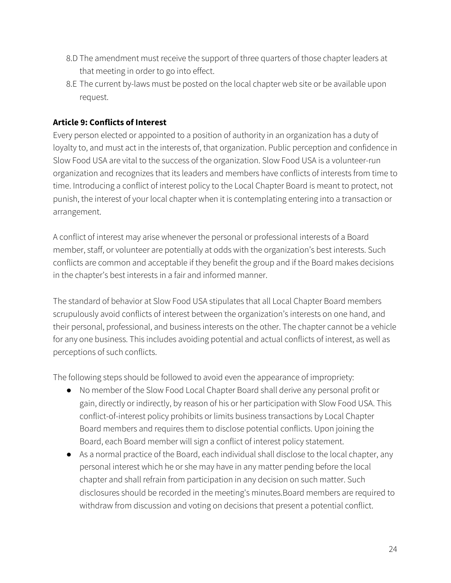- 8.D The amendment must receive the support of three quarters of those chapter leaders at that meeting in order to go into effect.
- 8.E The current by-laws must be posted on the local chapter web site or be available upon request.

### **Article 9: Conflicts of Interest**

Every person elected or appointed to a position of authority in an organization has a duty of loyalty to, and must act in the interests of, that organization. Public perception and confidence in Slow Food USA are vital to the success of the organization. Slow Food USA is a volunteer-run organization and recognizes that its leaders and members have conflicts of interests from time to time. Introducing a conflict of interest policy to the Local Chapter Board is meant to protect, not punish, the interest of your local chapter when it is contemplating entering into a transaction or arrangement.

A conflict of interest may arise whenever the personal or professional interests of a Board member, staff, or volunteer are potentially at odds with the organization's best interests. Such conflicts are common and acceptable if they benefit the group and if the Board makes decisions in the chapter's best interests in a fair and informed manner.

The standard of behavior at Slow Food USA stipulates that all Local Chapter Board members scrupulously avoid conflicts of interest between the organization's interests on one hand, and their personal, professional, and business interests on the other. The chapter cannot be a vehicle for any one business. This includes avoiding potential and actual conflicts of interest, as well as perceptions of such conflicts.

The following steps should be followed to avoid even the appearance of impropriety:

- No member of the Slow Food Local Chapter Board shall derive any personal profit or gain, directly or indirectly, by reason of his or her participation with Slow Food USA. This conflict-of-interest policy prohibits or limits business transactions by Local Chapter Board members and requires them to disclose potential conflicts. Upon joining the Board, each Board member will sign a conflict of interest policy statement.
- As a normal practice of the Board, each individual shall disclose to the local chapter, any personal interest which he or she may have in any matter pending before the local chapter and shall refrain from participation in any decision on such matter. Such disclosures should be recorded in the meeting's minutes.Board members are required to withdraw from discussion and voting on decisions that present a potential conflict.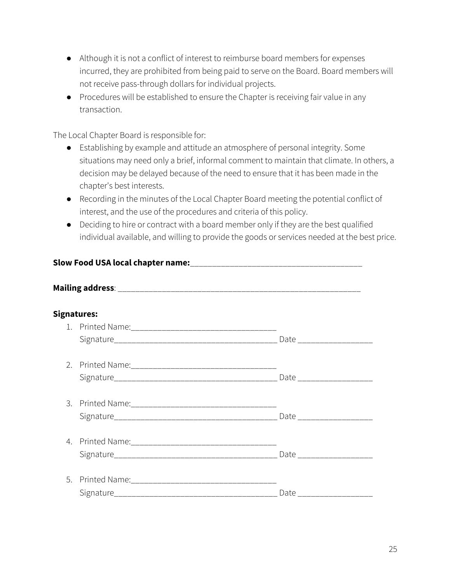- Although it is not a conflict of interest to reimburse board members for expenses incurred, they are prohibited from being paid to serve on the Board. Board members will not receive pass-through dollars for individual projects.
- Procedures will be established to ensure the Chapter is receiving fair value in any transaction.

The Local Chapter Board is responsible for:

- Establishing by example and attitude an atmosphere of personal integrity. Some situations may need only a brief, informal comment to maintain that climate. In others, a decision may be delayed because of the need to ensure that it has been made in the chapter's best interests.
- Recording in the minutes of the Local Chapter Board meeting the potential conflict of interest, and the use of the procedures and criteria of this policy.
- Deciding to hire or contract with a board member only if they are the best qualified individual available, and willing to provide the goods or services needed at the best price.

| Signatures: |  |                           |  |  |  |
|-------------|--|---------------------------|--|--|--|
|             |  |                           |  |  |  |
|             |  |                           |  |  |  |
|             |  |                           |  |  |  |
|             |  |                           |  |  |  |
|             |  |                           |  |  |  |
|             |  |                           |  |  |  |
|             |  |                           |  |  |  |
|             |  |                           |  |  |  |
| 5.          |  |                           |  |  |  |
|             |  | Date ____________________ |  |  |  |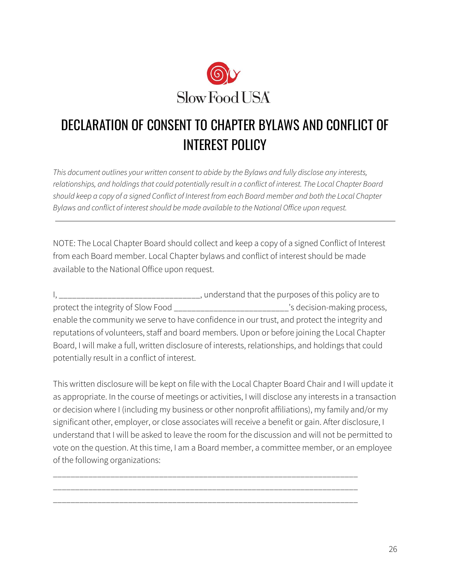

# <span id="page-25-0"></span>DECLARATION OF CONSENT TO CHAPTER BYLAWS AND CONFLICT OF INTEREST POLICY

*This document outlines your written consent to abide by the Bylaws and fully disclose any interests, relationships, and holdingsthat could potentially result in a conflict of interest. The Local Chapter Board* should keep a copy of a signed Conflict of Interest from each Board member and both the Local Chapter *Bylaws and conflict of interestshould be made available to the National Office upon request.*

NOTE: The Local Chapter Board should collect and keep a copy of a signed Conflict of Interest from each Board member. Local Chapter bylaws and conflict of interest should be made available to the National Office upon request.

I, \_\_\_\_\_\_\_\_\_\_\_\_\_\_\_\_\_\_\_\_\_\_\_\_\_\_\_\_\_\_\_\_\_\_\_, understand that the purposes of this policy are to protect the integrity of Slow Food \_\_\_\_\_\_\_\_\_\_\_\_\_\_\_\_\_\_\_\_\_\_\_\_\_\_'s decision-making process, enable the community we serve to have confidence in our trust, and protect the integrity and reputations of volunteers, staff and board members. Upon or before joining the Local Chapter Board, I will make a full, written disclosure of interests, relationships, and holdings that could potentially result in a conflict of interest.

This written disclosure will be kept on file with the Local Chapter Board Chair and I will update it as appropriate. In the course of meetings or activities, I will disclose any interests in a transaction or decision where I (including my business or other nonprofit affiliations), my family and/or my significant other, employer, or close associates will receive a benefit or gain. After disclosure, I understand that I will be asked to leave the room for the discussion and will not be permitted to vote on the question. At this time, I am a Board member, a committee member, or an employee of the following organizations:

\_\_\_\_\_\_\_\_\_\_\_\_\_\_\_\_\_\_\_\_\_\_\_\_\_\_\_\_\_\_\_\_\_\_\_\_\_\_\_\_\_\_\_\_\_\_\_\_\_\_\_\_\_\_\_\_\_\_\_\_\_\_\_\_\_\_\_\_\_ \_\_\_\_\_\_\_\_\_\_\_\_\_\_\_\_\_\_\_\_\_\_\_\_\_\_\_\_\_\_\_\_\_\_\_\_\_\_\_\_\_\_\_\_\_\_\_\_\_\_\_\_\_\_\_\_\_\_\_\_\_\_\_\_\_\_\_\_\_ \_\_\_\_\_\_\_\_\_\_\_\_\_\_\_\_\_\_\_\_\_\_\_\_\_\_\_\_\_\_\_\_\_\_\_\_\_\_\_\_\_\_\_\_\_\_\_\_\_\_\_\_\_\_\_\_\_\_\_\_\_\_\_\_\_\_\_\_\_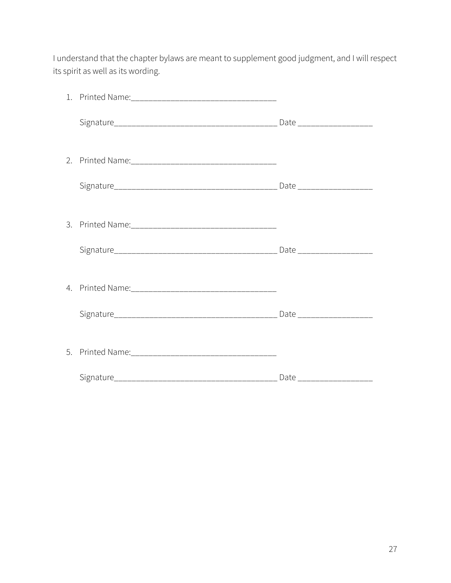I understand that the chapter bylaws are meant to supplement good judgment, and I will respect its spirit as well as its wording.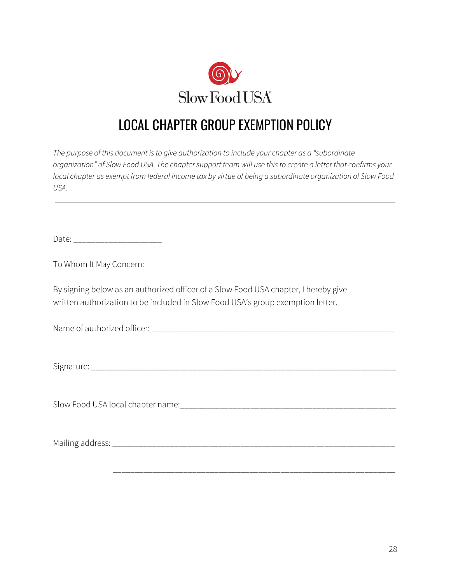

# <span id="page-27-0"></span>LOCAL CHAPTER GROUP EXEMPTION POLICY

*The purpose of this document isto give authorization to include your chapter as a "subordinate* organization" of Slow Food USA. The chapter support team will use this to create a letter that confirms your local chapter as exempt from federal income tax by virtue of being a subordinate organization of Slow Food *USA.*

Date: \_\_\_\_\_\_\_\_\_\_\_\_\_\_\_\_\_\_\_\_\_\_\_\_\_

To Whom It May Concern:

By signing below as an authorized officer of a Slow Food USA chapter, I hereby give written authorization to be included in Slow Food USA's group exemption letter.

Name of authorized officer: \_\_\_\_\_\_\_\_\_\_\_\_\_\_\_\_\_\_\_\_\_\_\_\_\_\_\_\_\_\_\_\_\_\_\_\_\_\_\_\_\_\_\_\_\_\_\_\_\_\_\_\_\_\_\_

Signature: \_\_\_\_\_\_\_\_\_\_\_\_\_\_\_\_\_\_\_\_\_\_\_\_\_\_\_\_\_\_\_\_\_\_\_\_\_\_\_\_\_\_\_\_\_\_\_\_\_\_\_\_\_\_\_\_\_\_\_\_\_\_\_\_\_\_\_\_\_

Slow Food USA local chapter name:\_\_\_\_\_\_\_\_\_\_\_\_\_\_\_\_\_\_\_\_\_\_\_\_\_\_\_\_\_\_\_\_\_\_\_\_\_\_\_\_\_\_\_\_\_\_\_\_\_

Mailing address: \_\_\_\_\_\_\_\_\_\_\_\_\_\_\_\_\_\_\_\_\_\_\_\_\_\_\_\_\_\_\_\_\_\_\_\_\_\_\_\_\_\_\_\_\_\_\_\_\_\_\_\_\_\_\_\_\_\_\_\_\_\_\_\_

\_\_\_\_\_\_\_\_\_\_\_\_\_\_\_\_\_\_\_\_\_\_\_\_\_\_\_\_\_\_\_\_\_\_\_\_\_\_\_\_\_\_\_\_\_\_\_\_\_\_\_\_\_\_\_\_\_\_\_\_\_\_\_\_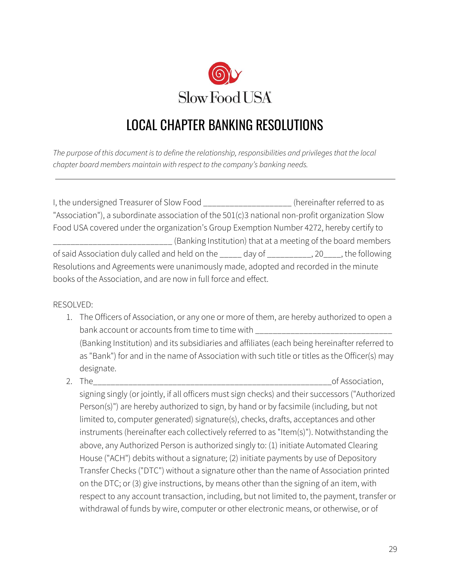

# <span id="page-28-0"></span>LOCAL CHAPTER BANKING RESOLUTIONS

*The purpose of this document isto define the relationship, responsibilities and privilegesthat the local chapter board members maintain with respect to the company's banking needs.*

I, the undersigned Treasurer of Slow Food \_\_\_\_\_\_\_\_\_\_\_\_\_\_\_\_\_\_\_\_ (hereinafter referred to as "Association"), a subordinate association of the 501(c)3 national non-profit organization Slow Food USA covered under the organization's Group Exemption Number 4272, hereby certify to \_\_\_\_\_\_\_\_\_\_\_\_\_\_\_\_\_\_\_\_\_\_\_\_\_\_\_ (Banking Institution) that at a meeting of the board members of said Association duly called and held on the \_\_\_\_\_ day of \_\_\_\_\_\_\_\_\_\_, 20\_\_\_\_, the following Resolutions and Agreements were unanimously made, adopted and recorded in the minute books of the Association, and are now in full force and effect.

RESOLVED:

- 1. The Officers of Association, or any one or more of them, are hereby authorized to open a bank account or accounts from time to time with \_\_\_\_\_\_\_\_\_\_\_\_\_\_\_\_\_\_\_\_\_\_\_\_\_\_\_\_\_\_\_\_ (Banking Institution) and its subsidiaries and affiliates (each being hereinafter referred to as "Bank") for and in the name of Association with such title or titles as the Officer(s) may designate.
- 2. The\_\_\_\_\_\_\_\_\_\_\_\_\_\_\_\_\_\_\_\_\_\_\_\_\_\_\_\_\_\_\_\_\_\_\_\_\_\_\_\_\_\_\_\_\_\_\_\_\_\_\_\_\_\_of Association, signing singly (or jointly, if all officers must sign checks) and their successors ("Authorized Person(s)") are hereby authorized to sign, by hand or by facsimile (including, but not limited to, computer generated) signature(s), checks, drafts, acceptances and other instruments (hereinafter each collectively referred to as "Item(s)"). Notwithstanding the above, any Authorized Person is authorized singly to: (1) initiate Automated Clearing House ("ACH") debits without a signature; (2) initiate payments by use of Depository Transfer Checks ("DTC") without a signature other than the name of Association printed on the DTC; or (3) give instructions, by means other than the signing of an item, with respect to any account transaction, including, but not limited to, the payment, transfer or withdrawal of funds by wire, computer or other electronic means, or otherwise, or of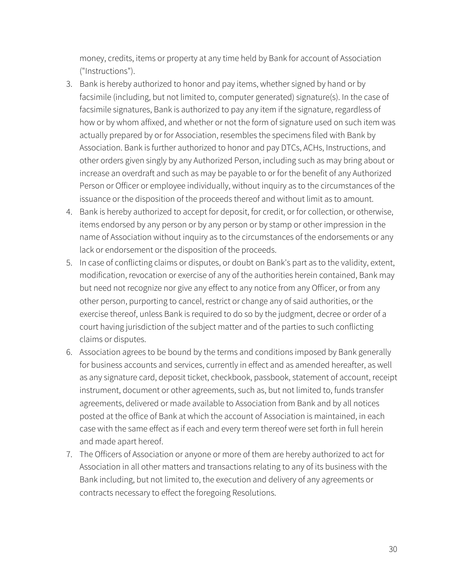money, credits, items or property at any time held by Bank for account of Association ("Instructions").

- 3. Bank is hereby authorized to honor and pay items, whether signed by hand or by facsimile (including, but not limited to, computer generated) signature(s). In the case of facsimile signatures, Bank is authorized to pay any item if the signature, regardless of how or by whom affixed, and whether or not the form of signature used on such item was actually prepared by or for Association, resembles the specimens filed with Bank by Association. Bank is further authorized to honor and pay DTCs, ACHs, Instructions, and other orders given singly by any Authorized Person, including such as may bring about or increase an overdraft and such as may be payable to or for the benefit of any Authorized Person or Officer or employee individually, without inquiry as to the circumstances of the issuance or the disposition of the proceeds thereof and without limit as to amount.
- 4. Bank is hereby authorized to accept for deposit, for credit, or for collection, or otherwise, items endorsed by any person or by any person or by stamp or other impression in the name of Association without inquiry as to the circumstances of the endorsements or any lack or endorsement or the disposition of the proceeds.
- 5. In case of conflicting claims or disputes, or doubt on Bank's part as to the validity, extent, modification, revocation or exercise of any of the authorities herein contained, Bank may but need not recognize nor give any effect to any notice from any Officer, or from any other person, purporting to cancel, restrict or change any of said authorities, or the exercise thereof, unless Bank is required to do so by the judgment, decree or order of a court having jurisdiction of the subject matter and of the parties to such conflicting claims or disputes.
- 6. Association agrees to be bound by the terms and conditions imposed by Bank generally for business accounts and services, currently in effect and as amended hereafter, as well as any signature card, deposit ticket, checkbook, passbook, statement of account, receipt instrument, document or other agreements, such as, but not limited to, funds transfer agreements, delivered or made available to Association from Bank and by all notices posted at the office of Bank at which the account of Association is maintained, in each case with the same effect as if each and every term thereof were set forth in full herein and made apart hereof.
- 7. The Officers of Association or anyone or more of them are hereby authorized to act for Association in all other matters and transactions relating to any of its business with the Bank including, but not limited to, the execution and delivery of any agreements or contracts necessary to effect the foregoing Resolutions.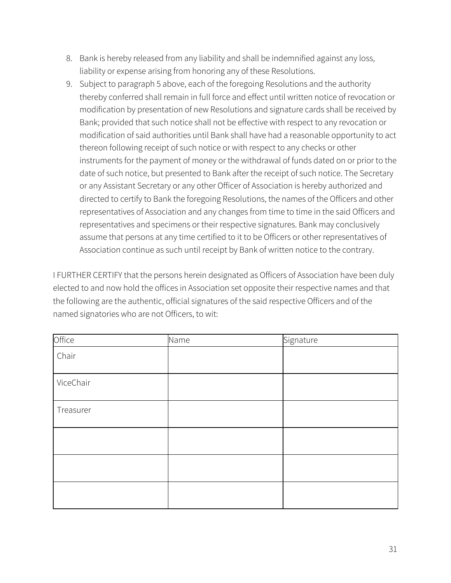- 8. Bank is hereby released from any liability and shall be indemnified against any loss, liability or expense arising from honoring any of these Resolutions.
- 9. Subject to paragraph 5 above, each of the foregoing Resolutions and the authority thereby conferred shall remain in full force and effect until written notice of revocation or modification by presentation of new Resolutions and signature cards shall be received by Bank; provided that such notice shall not be effective with respect to any revocation or modification of said authorities until Bank shall have had a reasonable opportunity to act thereon following receipt of such notice or with respect to any checks or other instruments for the payment of money or the withdrawal of funds dated on or prior to the date of such notice, but presented to Bank after the receipt of such notice. The Secretary or any Assistant Secretary or any other Officer of Association is hereby authorized and directed to certify to Bank the foregoing Resolutions, the names of the Officers and other representatives of Association and any changes from time to time in the said Officers and representatives and specimens or their respective signatures. Bank may conclusively assume that persons at any time certified to it to be Officers or other representatives of Association continue as such until receipt by Bank of written notice to the contrary.

I FURTHER CERTIFY that the persons herein designated as Officers of Association have been duly elected to and now hold the offices in Association set opposite their respective names and that the following are the authentic, official signatures of the said respective Officers and of the named signatories who are not Officers, to wit:

| Office    | Name | Signature |
|-----------|------|-----------|
| Chair     |      |           |
| ViceChair |      |           |
| Treasurer |      |           |
|           |      |           |
|           |      |           |
|           |      |           |